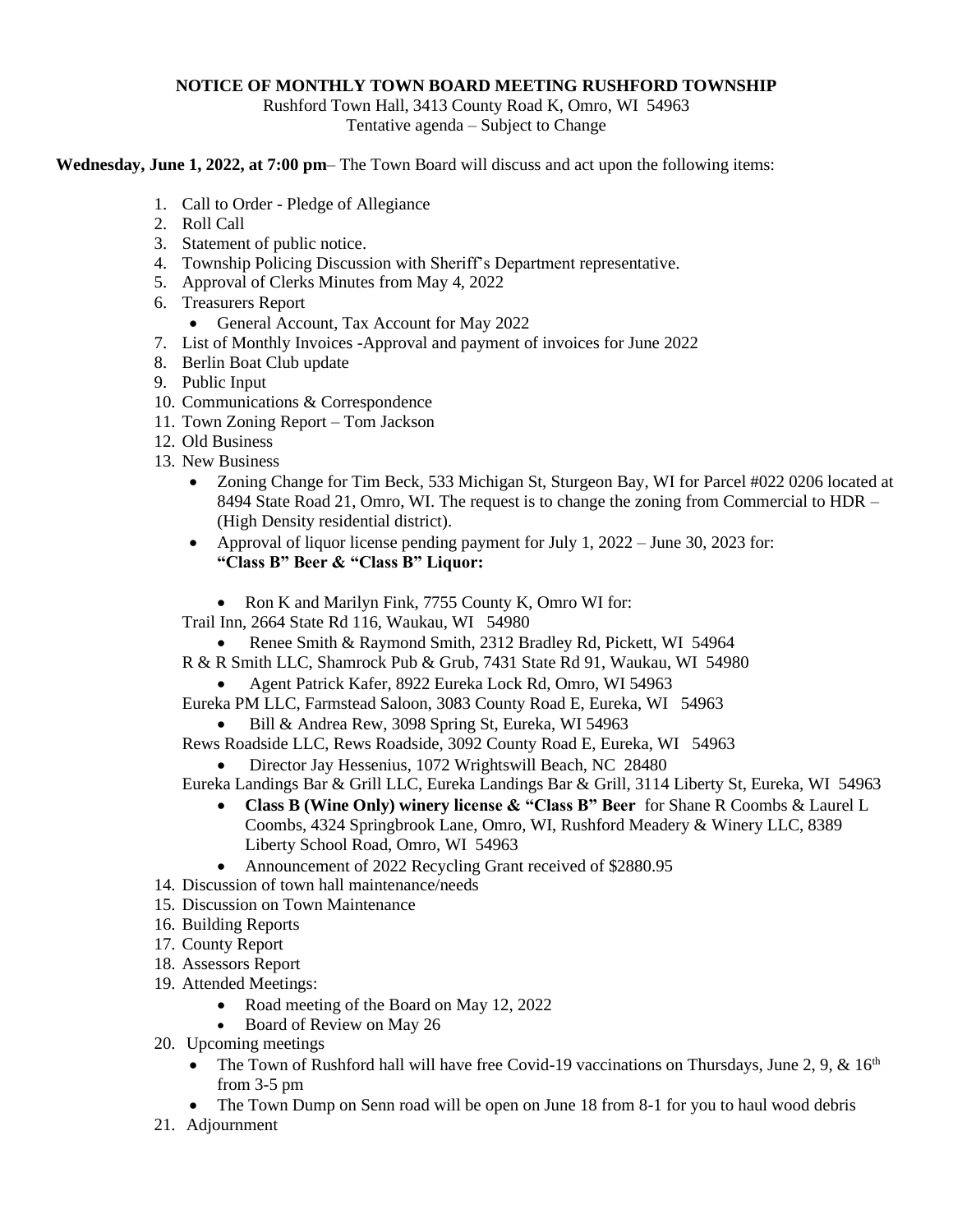## **NOTICE OF MONTHLY TOWN BOARD MEETING RUSHFORD TOWNSHIP**

Rushford Town Hall, 3413 County Road K, Omro, WI 54963 Tentative agenda – Subject to Change

**Wednesday, June 1, 2022, at 7:00 pm**– The Town Board will discuss and act upon the following items:

- 1. Call to Order Pledge of Allegiance
- 2. Roll Call
- 3. Statement of public notice.
- 4. Township Policing Discussion with Sheriff's Department representative.
- 5. Approval of Clerks Minutes from May 4, 2022
- 6. Treasurers Report
	- General Account, Tax Account for May 2022
- 7. List of Monthly Invoices -Approval and payment of invoices for June 2022
- 8. Berlin Boat Club update
- 9. Public Input
- 10. Communications & Correspondence
- 11. Town Zoning Report Tom Jackson
- 12. Old Business
- 13. New Business
	- Zoning Change for Tim Beck, 533 Michigan St, Sturgeon Bay, WI for Parcel #022 0206 located at 8494 State Road 21, Omro, WI. The request is to change the zoning from Commercial to HDR – (High Density residential district).
	- Approval of liquor license pending payment for July 1,  $2022 -$  June 30, 2023 for: **"Class B" Beer & "Class B" Liquor:**
		- Ron K and Marilyn Fink, 7755 County K, Omro WI for:
	- Trail Inn, 2664 State Rd 116, Waukau, WI 54980
		- Renee Smith & Raymond Smith, 2312 Bradley Rd, Pickett, WI 54964
	- R & R Smith LLC, Shamrock Pub & Grub, 7431 State Rd 91, Waukau, WI 54980
		- Agent Patrick Kafer, 8922 Eureka Lock Rd, Omro, WI 54963
	- Eureka PM LLC, Farmstead Saloon, 3083 County Road E, Eureka, WI 54963
		- Bill & Andrea Rew, 3098 Spring St, Eureka, WI 54963
	- Rews Roadside LLC, Rews Roadside, 3092 County Road E, Eureka, WI 54963
		- Director Jay Hessenius, 1072 Wrightswill Beach, NC 28480
	- Eureka Landings Bar & Grill LLC, Eureka Landings Bar & Grill, 3114 Liberty St, Eureka, WI 54963
		- **Class B (Wine Only) winery license & "Class B" Beer** for Shane R Coombs & Laurel L Coombs, 4324 Springbrook Lane, Omro, WI, Rushford Meadery & Winery LLC, 8389 Liberty School Road, Omro, WI 54963
		- Announcement of 2022 Recycling Grant received of \$2880.95
- 14. Discussion of town hall maintenance/needs
- 15. Discussion on Town Maintenance
- 16. Building Reports
- 17. County Report
- 18. Assessors Report
- 19. Attended Meetings:
	- Road meeting of the Board on May 12, 2022
	- Board of Review on May 26
- 20. Upcoming meetings
	- The Town of Rushford hall will have free Covid-19 vaccinations on Thursdays, June 2, 9, &  $16<sup>th</sup>$ from 3-5 pm
	- The Town Dump on Senn road will be open on June 18 from 8-1 for you to haul wood debris
- 21. Adjournment